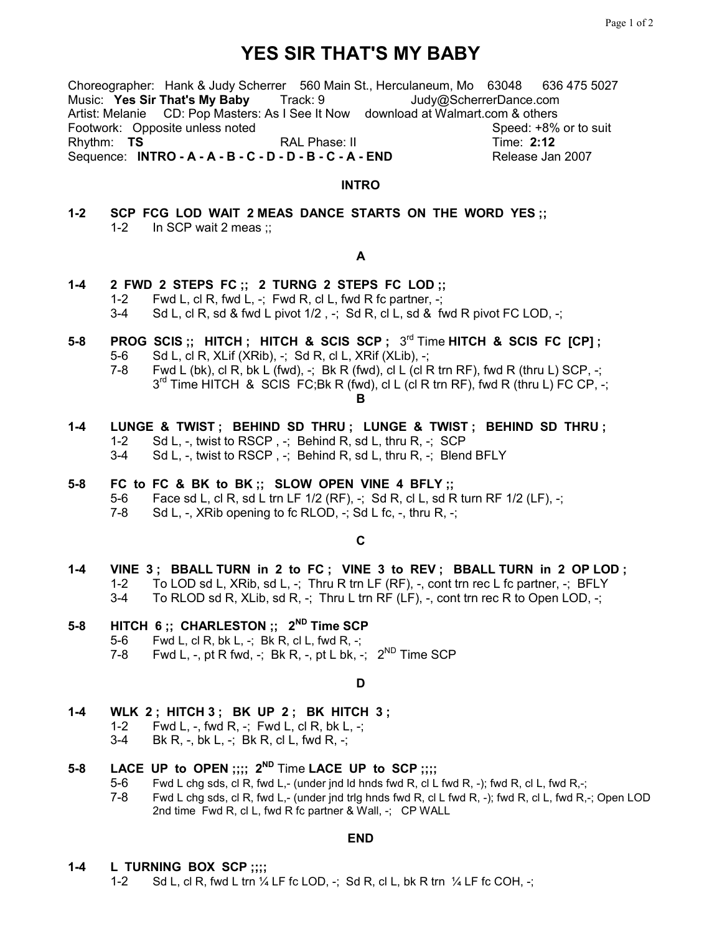# YES SIR THAT'S MY BABY

Choreographer: Hank & Judy Scherrer 560 Main St., Herculaneum, Mo 63048 636 475 5027 Music: Yes Sir That's My Baby Track: 9 Judy@ScherrerDance.com Artist: Melanie CD: Pop Masters: As I See It Now download at Walmart.com & others Footwork: Opposite unless noted Speed: +8% or to suit Rhythm: TS **RAL Phase: II** Time: 2:12 Sequence: INTRO - A - A - B - C - D - D - B - C - A - END Release Jan 2007

## INTRO

1-2 SCP FCG LOD WAIT 2 MEAS DANCE STARTS ON THE WORD YES ;; 1-2 In SCP wait 2 meas ::

### A

- 1-4 2 FWD 2 STEPS FC ;; 2 TURNG 2 STEPS FC LOD ;; 1-2 Fwd L, cl R, fwd L, -; Fwd R, cl L, fwd R fc partner, -;  $-3-4$  Sd L, cl R, sd & fwd L pivot 1/2,  $-$ ; Sd R, cl L, sd & fw Sd L, cl R, sd & fwd L pivot  $1/2$ ,  $-$ ; Sd R, cl L, sd & fwd R pivot FC LOD,  $-$ ;
- 5-8 PROG SCIS;; HITCH; HITCH & SCIS SCP;  $3^{rd}$  Time HITCH & SCIS FC [CP]; 5-6 Sd L, cl R, XLif (XRib), -; Sd R, cl L, XRif (XLib), -;<br>7-8 Fwd L (bk), cl R, bk L (fwd), -; Bk R (fwd), cl L (cl F
	- Fwd L (bk), cl R, bk L (fwd),  $-$ ; Bk R (fwd), cl L (cl R trn RF), fwd R (thru L) SCP,  $-$ ;  $3^{rd}$  Time HITCH & SCIS FC;Bk R (fwd), cl L (cl R trn RF), fwd R (thru L) FC CP, -; B

- 1-4 LUNGE & TWIST ; BEHIND SD THRU ; LUNGE & TWIST ; BEHIND SD THRU ; 1-2 Sd L, -, twist to RSCP , -; Behind R, sd L, thru R, -; SCP
	- 3-4 Sd L, -, twist to RSCP , -; Behind R, sd L, thru R, -; Blend BFLY
- 5-8 FC to FC & BK to BK ;; SLOW OPEN VINE 4 BFLY ;; 5-6 Face sd L, cl R, sd L trn LF 1/2 (RF), -; Sd R, cl L, sd R turn RF 1/2 (LF), -;<br>7-8 Sd L. -. XRib opening to fc RLOD. -: Sd L fc. -. thru R. -: Sd L, -, XRib opening to fc RLOD, -; Sd L fc, -, thru R, -;

### C

1-4 VINE 3; BBALL TURN in 2 to FC; VINE 3 to REV; BBALL TURN in 2 OP LOD; 1-2 To LOD sd L, XRib, sd L, -; Thru R trn LF (RF), -, cont trn rec L fc partner, -; BFLY 3-4 To RLOD sd R, XLib, sd R,  $-$ ; Thru L trn RF (LF),  $-$ , cont trn rec R to Open LOD,  $-$ ;

# 5-8 HITCH 6:: CHARLESTON :: 2<sup>ND</sup> Time SCP

- 5-6 Fwd L, cl R, bk L, -; Bk R, cl L, fwd R, -;<br>7-8 Fwd L, -, pt R fwd, -; Bk R, -, pt L bk, -;
- Fwd L, -, pt R fwd, -; Bk R, -, pt L bk, -;  $2^{ND}$  Time SCP

## D

- 1-4 WLK 2 ; HITCH 3 ; BK UP 2 ; BK HITCH 3 ;
	- 1-2 Fwd L, -, fwd R, -; Fwd L, cl R, bk L, -;<br>3-4 Bk R, -, bk L, -; Bk R, cl L, fwd R, -;
	- Bk R, -, bk L, -; Bk R, cl L, fwd R, -;

# 5-8 LACE UP to OPEN  $\cdots$ ;  $2^{ND}$  Time LACE UP to SCP  $\cdots$ ;

- 5-6 Fwd L chg sds, cl R, fwd L,- (under jnd ld hnds fwd R, cl L fwd R, -); fwd R, cl L, fwd R,-;<br>7-8 Fwd L cha sds. cl R. fwd L.- (under ind tria hnds fwd R. cl L fwd R. -): fwd R. cl L, fwd R.-
- Fwd L chg sds, cl R, fwd L,- (under jnd trlg hnds fwd R, cl L fwd R, -); fwd R, cl L, fwd R,-; Open LOD 2nd time Fwd R, cl L, fwd R fc partner & Wall, -; CP WALL

### END

# 1-4 L TURNING BOX SCP ::::

1-2 Sd L, cl R, fwd L trn  $\frac{1}{4}$  LF fc LOD, -; Sd R, cl L, bk R trn  $\frac{1}{4}$  LF fc COH, -;